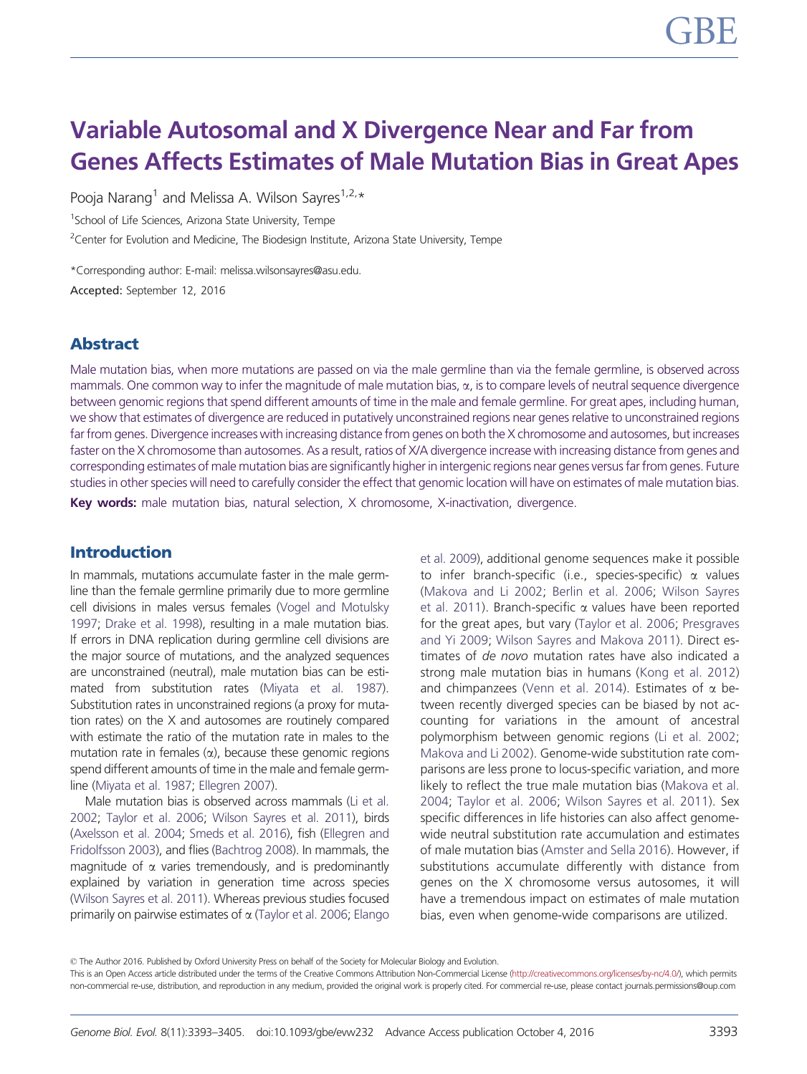# Variable Autosomal and X Divergence Near and Far from Genes Affects Estimates of Male Mutation Bias in Great Apes

Pooja Narang<sup>1</sup> and Melissa A. Wilson Sayres<sup>1,2,\*</sup>

<sup>1</sup>School of Life Sciences, Arizona State University, Tempe <sup>2</sup>Center for Evolution and Medicine, The Biodesign Institute, Arizona State University, Tempe

\*Corresponding author: E-mail: melissa.wilsonsayres@asu.edu. Accepted: September 12, 2016

## Abstract

Male mutation bias, when more mutations are passed on via the male germline than via the female germline, is observed across mammals. One common way to infer the magnitude of male mutation bias,  $\alpha$ , is to compare levels of neutral sequence divergence between genomic regions that spend different amounts of time in the male and female germline. For great apes, including human, we show that estimates of divergence are reduced in putatively unconstrained regions near genes relative to unconstrained regions far from genes. Divergence increases with increasing distance from genes on both the X chromosome and autosomes, but increases faster on the X chromosome than autosomes. As a result, ratios of X/A divergence increase with increasing distance from genes and corresponding estimates of male mutation bias are significantly higher in intergenic regions near genes versus far from genes. Future studies in other species will need to carefully consider the effect that genomic location will have on estimates of male mutation bias. Key words: male mutation bias, natural selection, X chromosome, X-inactivation, divergence.

## Introduction

In mammals, mutations accumulate faster in the male germline than the female germline primarily due to more germline cell divisions in males versus females ([Vogel and Motulsky](#page-12-0) [1997;](#page-12-0) [Drake et al. 1998\)](#page-11-0), resulting in a male mutation bias. If errors in DNA replication during germline cell divisions are the major source of mutations, and the analyzed sequences are unconstrained (neutral), male mutation bias can be estimated from substitution rates [\(Miyata et al. 1987](#page-11-0)). Substitution rates in unconstrained regions (a proxy for mutation rates) on the X and autosomes are routinely compared with estimate the ratio of the mutation rate in males to the mutation rate in females  $(\alpha)$ , because these genomic regions spend different amounts of time in the male and female germline [\(Miyata et al. 1987;](#page-11-0) [Ellegren 2007](#page-11-0)).

Male mutation bias is observed across mammals [\(Li et al.](#page-11-0) [2002;](#page-11-0) [Taylor et al. 2006](#page-12-0); [Wilson Sayres et al. 2011\)](#page-12-0), birds [\(Axelsson et al. 2004](#page-11-0); [Smeds et al. 2016\)](#page-12-0), fish [\(Ellegren and](#page-11-0) [Fridolfsson 2003\)](#page-11-0), and flies [\(Bachtrog 2008\)](#page-11-0). In mammals, the magnitude of  $\alpha$  varies tremendously, and is predominantly explained by variation in generation time across species [\(Wilson Sayres et al. 2011\)](#page-12-0). Whereas previous studies focused primarily on pairwise estimates of  $\alpha$  ([Taylor et al. 2006;](#page-12-0) [Elango](#page-11-0)

[et al. 2009\)](#page-11-0), additional genome sequences make it possible to infer branch-specific (i.e., species-specific)  $\alpha$  values ([Makova and Li 2002;](#page-11-0) [Berlin et al. 2006;](#page-11-0) [Wilson Sayres](#page-12-0) [et al. 2011\)](#page-12-0). Branch-specific  $\alpha$  values have been reported for the great apes, but vary [\(Taylor et al. 2006](#page-12-0); [Presgraves](#page-12-0) [and Yi 2009;](#page-12-0) [Wilson Sayres and Makova 2011](#page-12-0)). Direct estimates of de novo mutation rates have also indicated a strong male mutation bias in humans [\(Kong et al. 2012](#page-11-0)) and chimpanzees [\(Venn et al. 2014\)](#page-12-0). Estimates of  $\alpha$  between recently diverged species can be biased by not accounting for variations in the amount of ancestral polymorphism between genomic regions [\(Li et al. 2002](#page-11-0); [Makova and Li 2002](#page-11-0)). Genome-wide substitution rate comparisons are less prone to locus-specific variation, and more likely to reflect the true male mutation bias ([Makova et al.](#page-11-0) [2004](#page-11-0); [Taylor et al. 2006](#page-12-0); [Wilson Sayres et al. 2011](#page-12-0)). Sex specific differences in life histories can also affect genomewide neutral substitution rate accumulation and estimates of male mutation bias [\(Amster and Sella 2016](#page-10-0)). However, if substitutions accumulate differently with distance from genes on the X chromosome versus autosomes, it will have a tremendous impact on estimates of male mutation bias, even when genome-wide comparisons are utilized.

<sup>©</sup> The Author 2016. Published by Oxford University Press on behalf of the Society for Molecular Biology and Evolution.

This is an Open Access article distributed under the terms of the Creative Commons Attribution Non-Commercial License [\(http://creativecommons.org/licenses/by-nc/4.0/](http://creativecommons.org/licenses/by-nc/4.0/)), which permits non-commercial re-use, distribution, and reproduction in any medium, provided the original work is properly cited. For commercial re-use, please contact journals.permissions@oup.com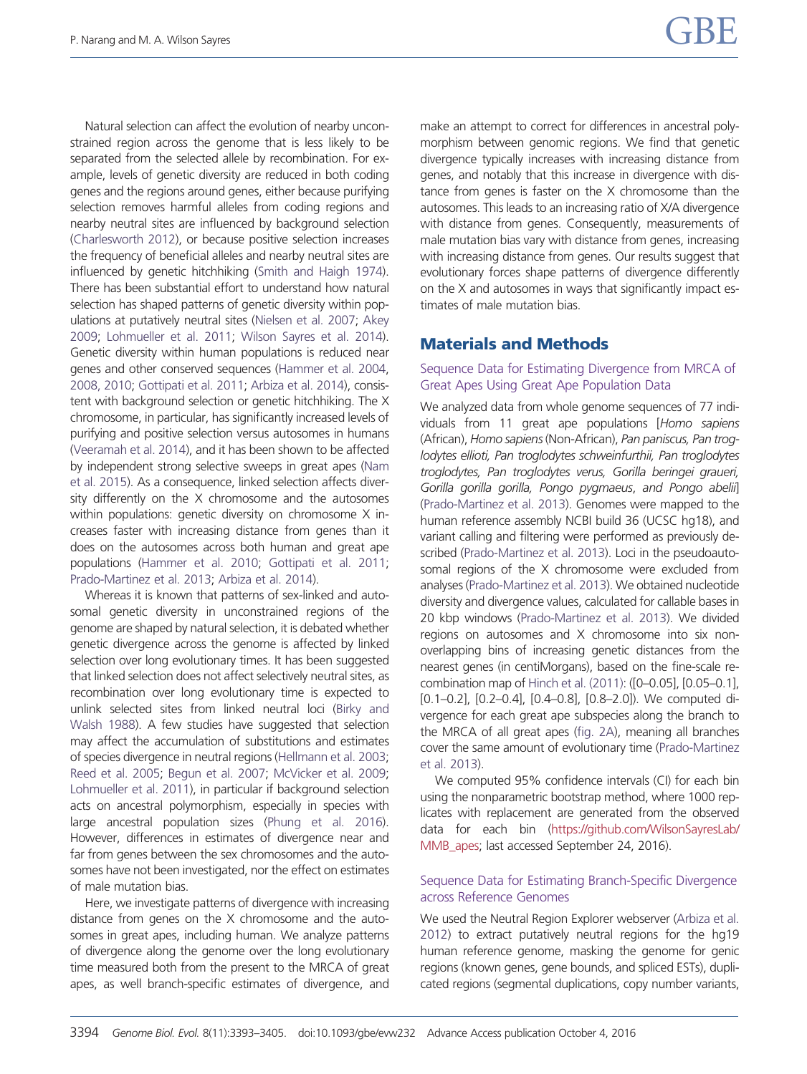Natural selection can affect the evolution of nearby unconstrained region across the genome that is less likely to be separated from the selected allele by recombination. For example, levels of genetic diversity are reduced in both coding genes and the regions around genes, either because purifying selection removes harmful alleles from coding regions and nearby neutral sites are influenced by background selection [\(Charlesworth 2012](#page-11-0)), or because positive selection increases the frequency of beneficial alleles and nearby neutral sites are influenced by genetic hitchhiking [\(Smith and Haigh 1974](#page-12-0)). There has been substantial effort to understand how natural selection has shaped patterns of genetic diversity within populations at putatively neutral sites [\(Nielsen et al. 2007](#page-12-0); [Akey](#page-10-0) [2009;](#page-10-0) [Lohmueller et al. 2011](#page-11-0); [Wilson Sayres et al. 2014](#page-12-0)). Genetic diversity within human populations is reduced near genes and other conserved sequences ([Hammer et al. 2004,](#page-11-0) [2008, 2010](#page-11-0); [Gottipati et al. 2011](#page-11-0); [Arbiza et al. 2014\)](#page-10-0), consistent with background selection or genetic hitchhiking. The X chromosome, in particular, has significantly increased levels of purifying and positive selection versus autosomes in humans [\(Veeramah et al. 2014](#page-12-0)), and it has been shown to be affected by independent strong selective sweeps in great apes [\(Nam](#page-12-0) [et al. 2015\)](#page-12-0). As a consequence, linked selection affects diversity differently on the X chromosome and the autosomes within populations: genetic diversity on chromosome X increases faster with increasing distance from genes than it does on the autosomes across both human and great ape populations [\(Hammer et al. 2010;](#page-11-0) [Gottipati et al. 2011;](#page-11-0) [Prado-Martinez et al. 2013;](#page-12-0) [Arbiza et al. 2014\)](#page-10-0).

Whereas it is known that patterns of sex-linked and autosomal genetic diversity in unconstrained regions of the genome are shaped by natural selection, it is debated whether genetic divergence across the genome is affected by linked selection over long evolutionary times. It has been suggested that linked selection does not affect selectively neutral sites, as recombination over long evolutionary time is expected to unlink selected sites from linked neutral loci [\(Birky and](#page-11-0) [Walsh 1988\)](#page-11-0). A few studies have suggested that selection may affect the accumulation of substitutions and estimates of species divergence in neutral regions [\(Hellmann et al. 2003;](#page-11-0) [Reed et al. 2005](#page-12-0); [Begun et al. 2007;](#page-11-0) [McVicker et al. 2009;](#page-11-0) [Lohmueller et al. 2011\)](#page-11-0), in particular if background selection acts on ancestral polymorphism, especially in species with large ancestral population sizes [\(Phung et al. 2016](#page-12-0)). However, differences in estimates of divergence near and far from genes between the sex chromosomes and the autosomes have not been investigated, nor the effect on estimates of male mutation bias.

Here, we investigate patterns of divergence with increasing distance from genes on the X chromosome and the autosomes in great apes, including human. We analyze patterns of divergence along the genome over the long evolutionary time measured both from the present to the MRCA of great apes, as well branch-specific estimates of divergence, and

make an attempt to correct for differences in ancestral polymorphism between genomic regions. We find that genetic divergence typically increases with increasing distance from genes, and notably that this increase in divergence with distance from genes is faster on the X chromosome than the autosomes. This leads to an increasing ratio of X/A divergence with distance from genes. Consequently, measurements of male mutation bias vary with distance from genes, increasing with increasing distance from genes. Our results suggest that evolutionary forces shape patterns of divergence differently on the X and autosomes in ways that significantly impact estimates of male mutation bias.

## Materials and Methods

#### Sequence Data for Estimating Divergence from MRCA of Great Apes Using Great Ape Population Data

We analyzed data from whole genome sequences of 77 individuals from 11 great ape populations [Homo sapiens (African), Homo sapiens(Non-African), Pan paniscus, Pan troglodytes ellioti, Pan troglodytes schweinfurthii, Pan troglodytes troglodytes, Pan troglodytes verus, Gorilla beringei graueri, Gorilla gorilla gorilla, Pongo pygmaeus, and Pongo abelii] ([Prado-Martinez et al. 2013](#page-12-0)). Genomes were mapped to the human reference assembly NCBI build 36 (UCSC hg18), and variant calling and filtering were performed as previously described ([Prado-Martinez et al. 2013\)](#page-12-0). Loci in the pseudoautosomal regions of the X chromosome were excluded from analyses [\(Prado-Martinez et al. 2013\)](#page-12-0). We obtained nucleotide diversity and divergence values, calculated for callable bases in 20 kbp windows [\(Prado-Martinez et al. 2013](#page-12-0)). We divided regions on autosomes and X chromosome into six nonoverlapping bins of increasing genetic distances from the nearest genes (in centiMorgans), based on the fine-scale recombination map of [Hinch et al. \(2011\)](#page-11-0): ([0–0.05], [0.05–0.1], [0.1–0.2], [0.2–0.4], [0.4–0.8], [0.8–2.0]). We computed divergence for each great ape subspecies along the branch to the MRCA of all great apes [\(fig. 2A](#page-5-0)), meaning all branches cover the same amount of evolutionary time ([Prado-Martinez](#page-12-0) [et al. 2013](#page-12-0)).

We computed 95% confidence intervals (CI) for each bin using the nonparametric bootstrap method, where 1000 replicates with replacement are generated from the observed data for each bin [\(https://github.com/WilsonSayresLab/](https://github.com/WilsonSayresLab/MMB_apes) [MMB\\_apes;](https://github.com/WilsonSayresLab/MMB_apes) last accessed September 24, 2016).

#### Sequence Data for Estimating Branch-Specific Divergence across Reference Genomes

We used the Neutral Region Explorer webserver ([Arbiza et al.](#page-11-0) [2012](#page-11-0)) to extract putatively neutral regions for the hg19 human reference genome, masking the genome for genic regions (known genes, gene bounds, and spliced ESTs), duplicated regions (segmental duplications, copy number variants,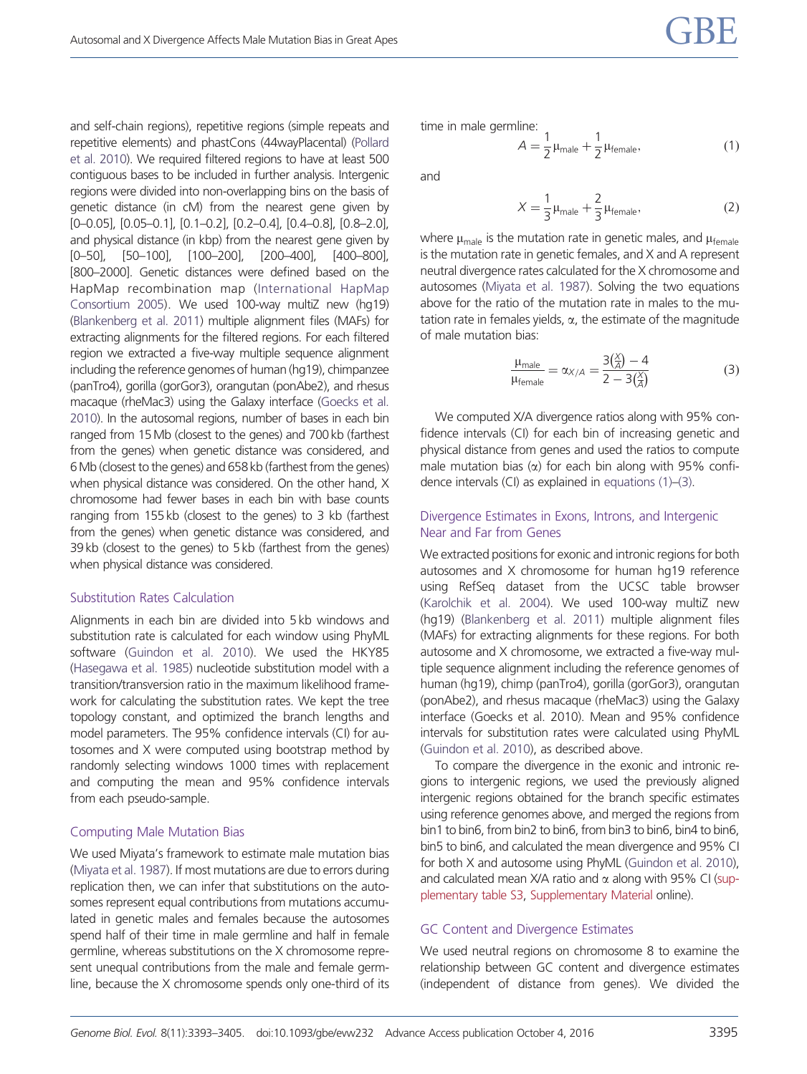and self-chain regions), repetitive regions (simple repeats and repetitive elements) and phastCons (44wayPlacental) [\(Pollard](#page-12-0) [et al. 2010](#page-12-0)). We required filtered regions to have at least 500 contiguous bases to be included in further analysis. Intergenic regions were divided into non-overlapping bins on the basis of genetic distance (in cM) from the nearest gene given by [0–0.05], [0.05–0.1], [0.1–0.2], [0.2–0.4], [0.4–0.8], [0.8–2.0], and physical distance (in kbp) from the nearest gene given by [0–50], [50–100], [100–200], [200–400], [400–800], [800–2000]. Genetic distances were defined based on the HapMap recombination map [\(International HapMap](#page-11-0) [Consortium 2005\)](#page-11-0). We used 100-way multiZ new (hg19) [\(Blankenberg et al. 2011\)](#page-11-0) multiple alignment files (MAFs) for extracting alignments for the filtered regions. For each filtered region we extracted a five-way multiple sequence alignment including the reference genomes of human (hg19), chimpanzee (panTro4), gorilla (gorGor3), orangutan (ponAbe2), and rhesus macaque (rheMac3) using the Galaxy interface [\(Goecks et al.](#page-11-0) [2010](#page-11-0)). In the autosomal regions, number of bases in each bin ranged from 15Mb (closest to the genes) and 700kb (farthest from the genes) when genetic distance was considered, and 6Mb (closest to the genes) and 658kb (farthest from the genes) when physical distance was considered. On the other hand, X chromosome had fewer bases in each bin with base counts ranging from 155kb (closest to the genes) to 3 kb (farthest from the genes) when genetic distance was considered, and 39kb (closest to the genes) to 5kb (farthest from the genes) when physical distance was considered.

#### Substitution Rates Calculation

Alignments in each bin are divided into 5 kb windows and substitution rate is calculated for each window using PhyML software ([Guindon et al. 2010](#page-11-0)). We used the HKY85 [\(Hasegawa et al. 1985\)](#page-11-0) nucleotide substitution model with a transition/transversion ratio in the maximum likelihood framework for calculating the substitution rates. We kept the tree topology constant, and optimized the branch lengths and model parameters. The 95% confidence intervals (CI) for autosomes and X were computed using bootstrap method by randomly selecting windows 1000 times with replacement and computing the mean and 95% confidence intervals from each pseudo-sample.

#### Computing Male Mutation Bias

We used Miyata's framework to estimate male mutation bias [\(Miyata et al. 1987\)](#page-11-0). If most mutations are due to errors during replication then, we can infer that substitutions on the autosomes represent equal contributions from mutations accumulated in genetic males and females because the autosomes spend half of their time in male germline and half in female germline, whereas substitutions on the X chromosome represent unequal contributions from the male and female germline, because the X chromosome spends only one-third of its time in male germline:

$$
A = \frac{1}{2} \mu_{\text{male}} + \frac{1}{2} \mu_{\text{female}},\tag{1}
$$

and

$$
X = \frac{1}{3}\mu_{\text{male}} + \frac{2}{3}\mu_{\text{female}},\tag{2}
$$

where  $\mu_{malo}$  is the mutation rate in genetic males, and  $\mu_{femalo}$ is the mutation rate in genetic females, and X and A represent neutral divergence rates calculated for the X chromosome and autosomes [\(Miyata et al. 1987\)](#page-11-0). Solving the two equations above for the ratio of the mutation rate in males to the mutation rate in females yields,  $\alpha$ , the estimate of the magnitude of male mutation bias:

$$
\frac{\mu_{\text{male}}}{\mu_{\text{female}}} = \alpha_{X/A} = \frac{3\left(\frac{X}{A}\right) - 4}{2 - 3\left(\frac{X}{A}\right)}\tag{3}
$$

We computed X/A divergence ratios along with 95% confidence intervals (CI) for each bin of increasing genetic and physical distance from genes and used the ratios to compute male mutation bias  $(x)$  for each bin along with 95% confidence intervals (CI) as explained in equations (1)–(3).

#### Divergence Estimates in Exons, Introns, and Intergenic Near and Far from Genes

We extracted positions for exonic and intronic regions for both autosomes and X chromosome for human hg19 reference using RefSeq dataset from the UCSC table browser ([Karolchik et al. 2004\)](#page-11-0). We used 100-way multiZ new (hg19) [\(Blankenberg et al. 2011](#page-11-0)) multiple alignment files (MAFs) for extracting alignments for these regions. For both autosome and X chromosome, we extracted a five-way multiple sequence alignment including the reference genomes of human (hg19), chimp (panTro4), gorilla (gorGor3), orangutan (ponAbe2), and rhesus macaque (rheMac3) using the Galaxy interface (Goecks et al. 2010). Mean and 95% confidence intervals for substitution rates were calculated using PhyML ([Guindon et al. 2010](#page-11-0)), as described above.

To compare the divergence in the exonic and intronic regions to intergenic regions, we used the previously aligned intergenic regions obtained for the branch specific estimates using reference genomes above, and merged the regions from bin1 to bin6, from bin2 to bin6, from bin3 to bin6, bin4 to bin6, bin5 to bin6, and calculated the mean divergence and 95% CI for both X and autosome using PhyML ([Guindon et al. 2010\)](#page-11-0), and calculated mean  $X/A$  ratio and  $\alpha$  along with 95% CI ([sup](http://gbe.oxfordjournals.org/lookup/suppl/doi:10.1093/gbe/evw232/-/DC1)[plementary table S3](http://gbe.oxfordjournals.org/lookup/suppl/doi:10.1093/gbe/evw232/-/DC1), [Supplementary Material](http://gbe.oxfordjournals.org/lookup/suppl/doi:10.1093/gbe/evw232/-/DC1) online).

#### GC Content and Divergence Estimates

We used neutral regions on chromosome 8 to examine the relationship between GC content and divergence estimates (independent of distance from genes). We divided the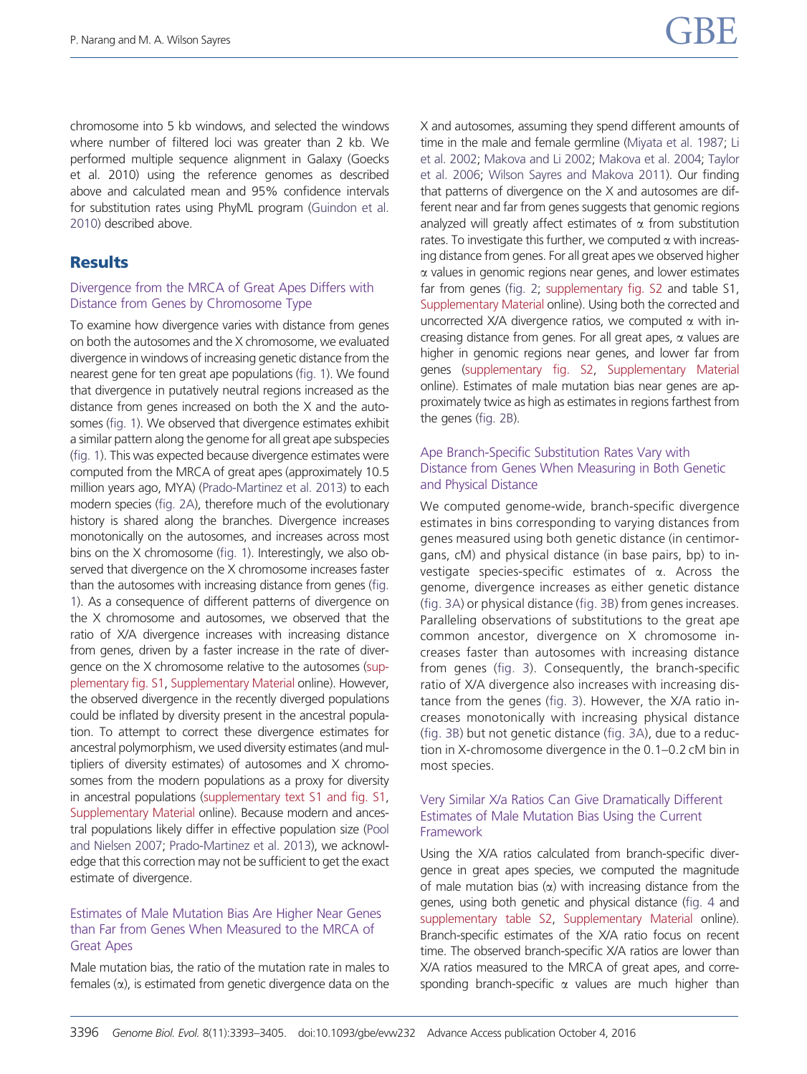chromosome into 5 kb windows, and selected the windows where number of filtered loci was greater than 2 kb. We performed multiple sequence alignment in Galaxy (Goecks et al. 2010) using the reference genomes as described above and calculated mean and 95% confidence intervals for substitution rates using PhyML program [\(Guindon et al.](#page-11-0) [2010\)](#page-11-0) described above.

## Results

#### Divergence from the MRCA of Great Apes Differs with Distance from Genes by Chromosome Type

To examine how divergence varies with distance from genes on both the autosomes and the X chromosome, we evaluated divergence in windows of increasing genetic distance from the nearest gene for ten great ape populations [\(fig. 1](#page-4-0)). We found that divergence in putatively neutral regions increased as the distance from genes increased on both the X and the autosomes [\(fig. 1\)](#page-4-0). We observed that divergence estimates exhibit a similar pattern along the genome for all great ape subspecies [\(fig. 1](#page-4-0)). This was expected because divergence estimates were computed from the MRCA of great apes (approximately 10.5 million years ago, MYA) [\(Prado-Martinez et al. 2013](#page-12-0)) to each modern species [\(fig. 2A\)](#page-5-0), therefore much of the evolutionary history is shared along the branches. Divergence increases monotonically on the autosomes, and increases across most bins on the X chromosome [\(fig. 1\)](#page-4-0). Interestingly, we also observed that divergence on the X chromosome increases faster than the autosomes with increasing distance from genes ([fig.](#page-4-0) [1\)](#page-4-0). As a consequence of different patterns of divergence on the X chromosome and autosomes, we observed that the ratio of X/A divergence increases with increasing distance from genes, driven by a faster increase in the rate of divergence on the X chromosome relative to the autosomes ([sup](http://gbe.oxfordjournals.org/lookup/suppl/doi:10.1093/gbe/evw232/-/DC1)[plementary fig. S1](http://gbe.oxfordjournals.org/lookup/suppl/doi:10.1093/gbe/evw232/-/DC1), [Supplementary Material](http://gbe.oxfordjournals.org/lookup/suppl/doi:10.1093/gbe/evw232/-/DC1) online). However, the observed divergence in the recently diverged populations could be inflated by diversity present in the ancestral population. To attempt to correct these divergence estimates for ancestral polymorphism, we used diversity estimates (and multipliers of diversity estimates) of autosomes and X chromosomes from the modern populations as a proxy for diversity in ancestral populations [\(supplementary text S1 and fig. S1,](http://gbe.oxfordjournals.org/lookup/suppl/doi:10.1093/gbe/evw232/-/DC1) [Supplementary Material](http://gbe.oxfordjournals.org/lookup/suppl/doi:10.1093/gbe/evw232/-/DC1) online). Because modern and ancestral populations likely differ in effective population size ([Pool](#page-12-0) [and Nielsen 2007;](#page-12-0) [Prado-Martinez et al. 2013\)](#page-12-0), we acknowledge that this correction may not be sufficient to get the exact estimate of divergence.

#### Estimates of Male Mutation Bias Are Higher Near Genes than Far from Genes When Measured to the MRCA of Great Apes

Male mutation bias, the ratio of the mutation rate in males to females  $(\alpha)$ , is estimated from genetic divergence data on the X and autosomes, assuming they spend different amounts of time in the male and female germline [\(Miyata et al. 1987](#page-11-0); [Li](#page-11-0) [et al. 2002](#page-11-0); [Makova and Li 2002;](#page-11-0) [Makova et al. 2004;](#page-11-0) [Taylor](#page-12-0) [et al. 2006](#page-12-0); [Wilson Sayres and Makova 2011\)](#page-12-0). Our finding that patterns of divergence on the X and autosomes are different near and far from genes suggests that genomic regions analyzed will greatly affect estimates of  $\alpha$  from substitution rates. To investigate this further, we computed  $\alpha$  with increasing distance from genes. For all great apes we observed higher  $\alpha$  values in genomic regions near genes, and lower estimates far from genes ([fig. 2;](#page-5-0) [supplementary fig. S2](http://gbe.oxfordjournals.org/lookup/suppl/doi:10.1093/gbe/evw232/-/DC1) and table S1, [Supplementary Material](http://gbe.oxfordjournals.org/lookup/suppl/doi:10.1093/gbe/evw232/-/DC1) online). Using both the corrected and uncorrected X/A divergence ratios, we computed  $\alpha$  with increasing distance from genes. For all great apes,  $\alpha$  values are higher in genomic regions near genes, and lower far from genes [\(supplementary fig. S2](http://gbe.oxfordjournals.org/lookup/suppl/doi:10.1093/gbe/evw232/-/DC1), [Supplementary Material](http://gbe.oxfordjournals.org/lookup/suppl/doi:10.1093/gbe/evw232/-/DC1) online). Estimates of male mutation bias near genes are approximately twice as high as estimates in regions farthest from the genes ([fig. 2B\)](#page-5-0).

#### Ape Branch-Specific Substitution Rates Vary with Distance from Genes When Measuring in Both Genetic and Physical Distance

We computed genome-wide, branch-specific divergence estimates in bins corresponding to varying distances from genes measured using both genetic distance (in centimorgans, cM) and physical distance (in base pairs, bp) to investigate species-specific estimates of  $\alpha$ . Across the genome, divergence increases as either genetic distance ([fig. 3A](#page-6-0)) or physical distance ([fig. 3B\)](#page-6-0) from genes increases. Paralleling observations of substitutions to the great ape common ancestor, divergence on X chromosome increases faster than autosomes with increasing distance from genes [\(fig. 3](#page-6-0)). Consequently, the branch-specific ratio of X/A divergence also increases with increasing distance from the genes ([fig. 3](#page-6-0)). However, the X/A ratio increases monotonically with increasing physical distance ([fig. 3B](#page-6-0)) but not genetic distance [\(fig. 3A\)](#page-6-0), due to a reduction in X-chromosome divergence in the 0.1–0.2 cM bin in most species.

#### Very Similar X/a Ratios Can Give Dramatically Different Estimates of Male Mutation Bias Using the Current Framework

Using the X/A ratios calculated from branch-specific divergence in great apes species, we computed the magnitude of male mutation bias  $(\alpha)$  with increasing distance from the genes, using both genetic and physical distance [\(fig. 4](#page-7-0) and [supplementary table S2,](http://gbe.oxfordjournals.org/lookup/suppl/doi:10.1093/gbe/evw232/-/DC1) [Supplementary Material](http://gbe.oxfordjournals.org/lookup/suppl/doi:10.1093/gbe/evw232/-/DC1) online). Branch-specific estimates of the X/A ratio focus on recent time. The observed branch-specific X/A ratios are lower than X/A ratios measured to the MRCA of great apes, and corresponding branch-specific  $\alpha$  values are much higher than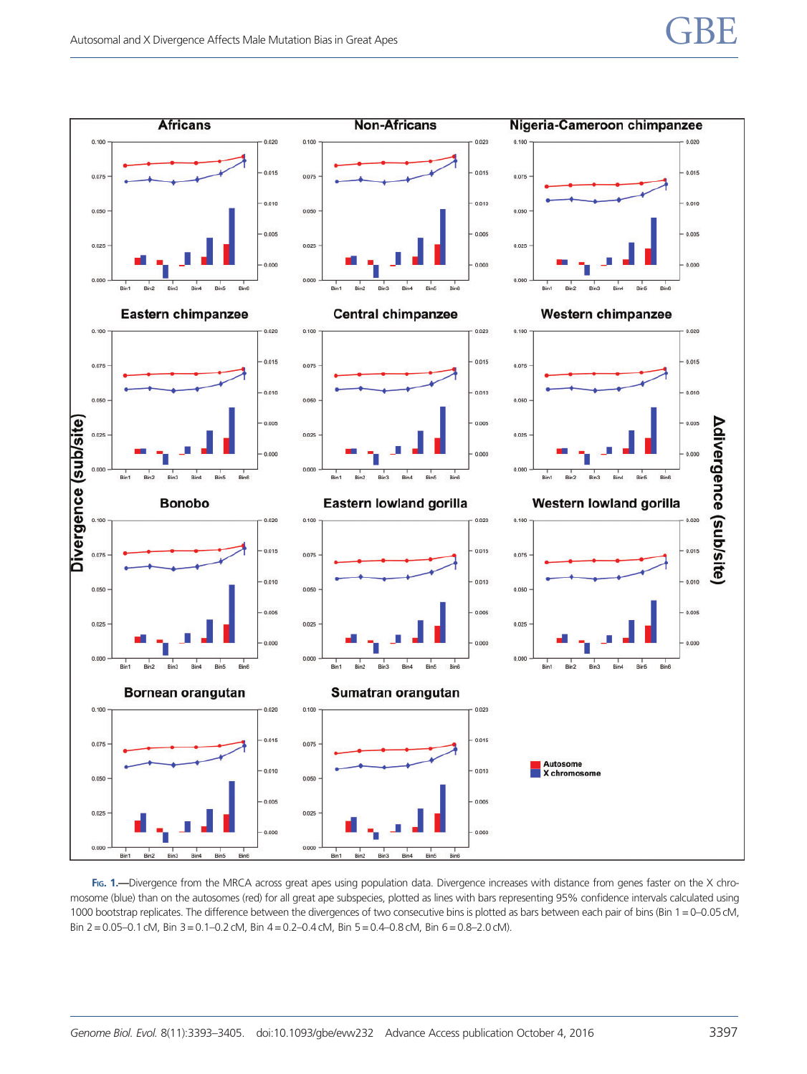<span id="page-4-0"></span>

FIG. 1.-Divergence from the MRCA across great apes using population data. Divergence increases with distance from genes faster on the X chromosome (blue) than on the autosomes (red) for all great ape subspecies, plotted as lines with bars representing 95% confidence intervals calculated using 1000 bootstrap replicates. The difference between the divergences of two consecutive bins is plotted as bars between each pair of bins (Bin 1 =0–0.05cM, Bin 2 = 0.05–0.1 cM, Bin 3= 0.1–0.2 cM, Bin 4 =0.2–0.4cM, Bin 5 = 0.4–0.8cM, Bin 6= 0.8–2.0 cM).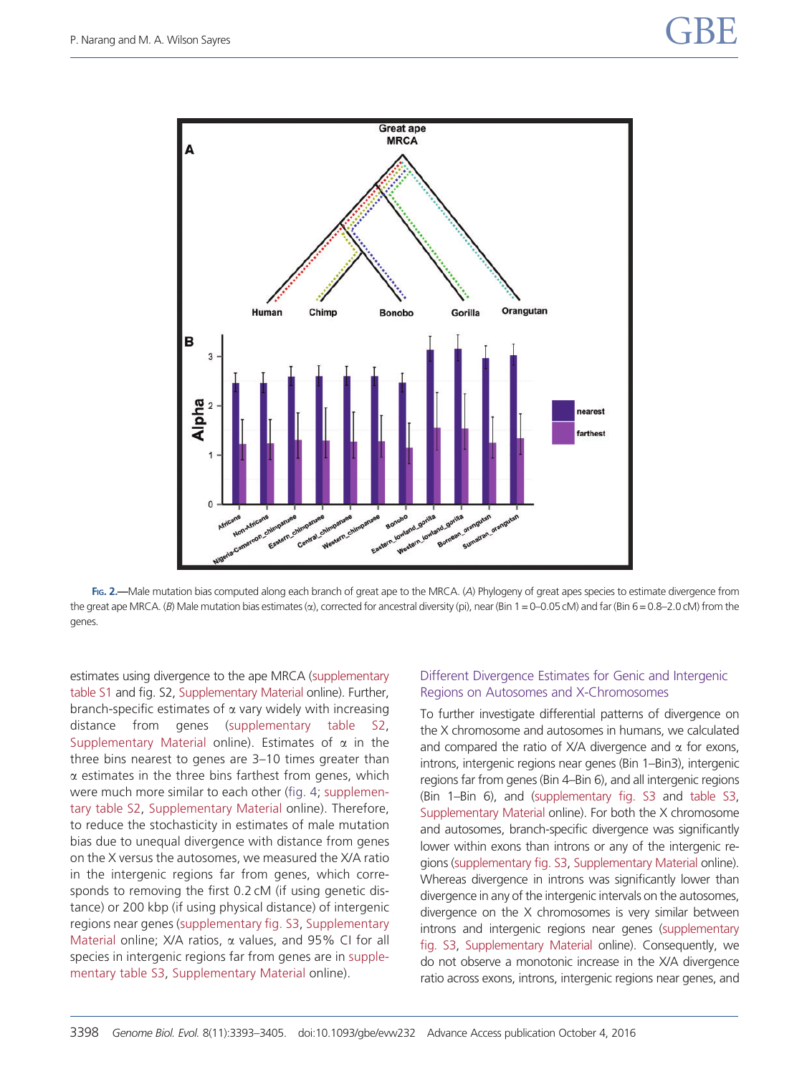<span id="page-5-0"></span>

FIG. 2.—Male mutation bias computed along each branch of great ape to the MRCA. (A) Phylogeny of great apes species to estimate divergence from the great ape MRCA. (B) Male mutation bias estimates ( $\alpha$ ), corrected for ancestral diversity (pi), near (Bin 1 = 0-0.05 cM) and far (Bin 6 = 0.8-2.0 cM) from the genes.

estimates using divergence to the ape MRCA ([supplementary](http://gbe.oxfordjournals.org/lookup/suppl/doi:10.1093/gbe/evw232/-/DC1) [table S1](http://gbe.oxfordjournals.org/lookup/suppl/doi:10.1093/gbe/evw232/-/DC1) and fig. S2, [Supplementary Material](http://gbe.oxfordjournals.org/lookup/suppl/doi:10.1093/gbe/evw232/-/DC1) online). Further, branch-specific estimates of  $\alpha$  vary widely with increasing distance from genes [\(supplementary table S2,](http://gbe.oxfordjournals.org/lookup/suppl/doi:10.1093/gbe/evw232/-/DC1) [Supplementary Material](http://gbe.oxfordjournals.org/lookup/suppl/doi:10.1093/gbe/evw232/-/DC1) online). Estimates of  $\alpha$  in the three bins nearest to genes are 3–10 times greater than  $\alpha$  estimates in the three bins farthest from genes, which were much more similar to each other ([fig. 4](#page-7-0); [supplemen](http://gbe.oxfordjournals.org/lookup/suppl/doi:10.1093/gbe/evw232/-/DC1)[tary table S2](http://gbe.oxfordjournals.org/lookup/suppl/doi:10.1093/gbe/evw232/-/DC1), [Supplementary Material](http://gbe.oxfordjournals.org/lookup/suppl/doi:10.1093/gbe/evw232/-/DC1) online). Therefore, to reduce the stochasticity in estimates of male mutation bias due to unequal divergence with distance from genes on the X versus the autosomes, we measured the X/A ratio in the intergenic regions far from genes, which corresponds to removing the first 0.2 cM (if using genetic distance) or 200 kbp (if using physical distance) of intergenic regions near genes ([supplementary fig. S3](http://gbe.oxfordjournals.org/lookup/suppl/doi:10.1093/gbe/evw232/-/DC1), [Supplementary](http://gbe.oxfordjournals.org/lookup/suppl/doi:10.1093/gbe/evw232/-/DC1) [Material](http://gbe.oxfordjournals.org/lookup/suppl/doi:10.1093/gbe/evw232/-/DC1) online;  $X/A$  ratios,  $\alpha$  values, and 95% CI for all species in intergenic regions far from genes are in [supple](http://gbe.oxfordjournals.org/lookup/suppl/doi:10.1093/gbe/evw232/-/DC1)[mentary table S3,](http://gbe.oxfordjournals.org/lookup/suppl/doi:10.1093/gbe/evw232/-/DC1) [Supplementary Material](http://gbe.oxfordjournals.org/lookup/suppl/doi:10.1093/gbe/evw232/-/DC1) online).

#### Different Divergence Estimates for Genic and Intergenic Regions on Autosomes and X-Chromosomes

To further investigate differential patterns of divergence on the X chromosome and autosomes in humans, we calculated and compared the ratio of  $X/A$  divergence and  $\alpha$  for exons, introns, intergenic regions near genes (Bin 1–Bin3), intergenic regions far from genes (Bin 4–Bin 6), and all intergenic regions (Bin 1–Bin 6), and ([supplementary fig. S3](http://gbe.oxfordjournals.org/lookup/suppl/doi:10.1093/gbe/evw232/-/DC1) and [table S3](http://gbe.oxfordjournals.org/lookup/suppl/doi:10.1093/gbe/evw232/-/DC1), [Supplementary Material](http://gbe.oxfordjournals.org/lookup/suppl/doi:10.1093/gbe/evw232/-/DC1) online). For both the X chromosome and autosomes, branch-specific divergence was significantly lower within exons than introns or any of the intergenic regions ([supplementary fig. S3,](http://gbe.oxfordjournals.org/lookup/suppl/doi:10.1093/gbe/evw232/-/DC1) [Supplementary Material](http://gbe.oxfordjournals.org/lookup/suppl/doi:10.1093/gbe/evw232/-/DC1) online). Whereas divergence in introns was significantly lower than divergence in any of the intergenic intervals on the autosomes, divergence on the X chromosomes is very similar between introns and intergenic regions near genes [\(supplementary](http://gbe.oxfordjournals.org/lookup/suppl/doi:10.1093/gbe/evw232/-/DC1) [fig. S3,](http://gbe.oxfordjournals.org/lookup/suppl/doi:10.1093/gbe/evw232/-/DC1) [Supplementary Material](http://gbe.oxfordjournals.org/lookup/suppl/doi:10.1093/gbe/evw232/-/DC1) online). Consequently, we do not observe a monotonic increase in the X/A divergence ratio across exons, introns, intergenic regions near genes, and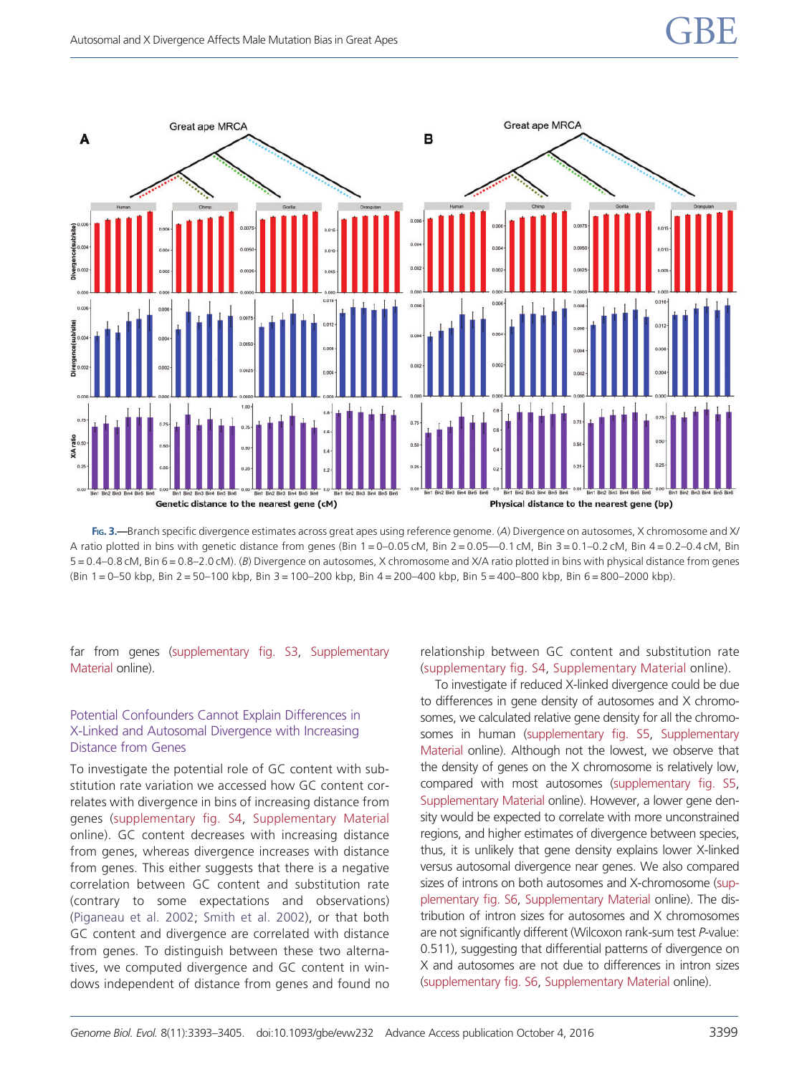<span id="page-6-0"></span>

FIG. 3.—Branch specific divergence estimates across great apes using reference genome. (A) Divergence on autosomes, X chromosome and X/ A ratio plotted in bins with genetic distance from genes (Bin 1 = 0-0.05 cM, Bin 2 = 0.05-0.1 cM, Bin 3 = 0.1-0.2 cM, Bin 4 = 0.2-0.4 cM, Bin 5 = 0.4–0.8 cM, Bin 6 = 0.8–2.0 cM). (B) Divergence on autosomes, X chromosome and X/A ratio plotted in bins with physical distance from genes (Bin 1 = 0–50 kbp, Bin 2 = 50–100 kbp, Bin 3 = 100–200 kbp, Bin 4 = 200–400 kbp, Bin 5 = 400–800 kbp, Bin 6 = 800–2000 kbp).

far from genes [\(supplementary fig. S3,](http://gbe.oxfordjournals.org/lookup/suppl/doi:10.1093/gbe/evw232/-/DC1) [Supplementary](http://gbe.oxfordjournals.org/lookup/suppl/doi:10.1093/gbe/evw232/-/DC1) [Material](http://gbe.oxfordjournals.org/lookup/suppl/doi:10.1093/gbe/evw232/-/DC1) online).

#### Potential Confounders Cannot Explain Differences in X-Linked and Autosomal Divergence with Increasing Distance from Genes

To investigate the potential role of GC content with substitution rate variation we accessed how GC content correlates with divergence in bins of increasing distance from genes ([supplementary fig. S4,](http://gbe.oxfordjournals.org/lookup/suppl/doi:10.1093/gbe/evw232/-/DC1) [Supplementary Material](http://gbe.oxfordjournals.org/lookup/suppl/doi:10.1093/gbe/evw232/-/DC1) online). GC content decreases with increasing distance from genes, whereas divergence increases with distance from genes. This either suggests that there is a negative correlation between GC content and substitution rate (contrary to some expectations and observations) ([Piganeau et al. 2002](#page-12-0); [Smith et al. 2002](#page-12-0)), or that both GC content and divergence are correlated with distance from genes. To distinguish between these two alternatives, we computed divergence and GC content in windows independent of distance from genes and found no relationship between GC content and substitution rate ([supplementary fig. S4,](http://gbe.oxfordjournals.org/lookup/suppl/doi:10.1093/gbe/evw232/-/DC1) [Supplementary Material](http://gbe.oxfordjournals.org/lookup/suppl/doi:10.1093/gbe/evw232/-/DC1) online).

To investigate if reduced X-linked divergence could be due to differences in gene density of autosomes and X chromosomes, we calculated relative gene density for all the chromosomes in human [\(supplementary fig. S5,](http://gbe.oxfordjournals.org/lookup/suppl/doi:10.1093/gbe/evw232/-/DC1) [Supplementary](http://gbe.oxfordjournals.org/lookup/suppl/doi:10.1093/gbe/evw232/-/DC1) [Material](http://gbe.oxfordjournals.org/lookup/suppl/doi:10.1093/gbe/evw232/-/DC1) online). Although not the lowest, we observe that the density of genes on the X chromosome is relatively low, compared with most autosomes [\(supplementary fig. S5](http://gbe.oxfordjournals.org/lookup/suppl/doi:10.1093/gbe/evw232/-/DC1), [Supplementary Material](http://gbe.oxfordjournals.org/lookup/suppl/doi:10.1093/gbe/evw232/-/DC1) online). However, a lower gene density would be expected to correlate with more unconstrained regions, and higher estimates of divergence between species, thus, it is unlikely that gene density explains lower X-linked versus autosomal divergence near genes. We also compared sizes of introns on both autosomes and X-chromosome [\(sup](http://gbe.oxfordjournals.org/lookup/suppl/doi:10.1093/gbe/evw232/-/DC1)[plementary fig. S6,](http://gbe.oxfordjournals.org/lookup/suppl/doi:10.1093/gbe/evw232/-/DC1) [Supplementary Material](http://gbe.oxfordjournals.org/lookup/suppl/doi:10.1093/gbe/evw232/-/DC1) online). The distribution of intron sizes for autosomes and X chromosomes are not significantly different (Wilcoxon rank-sum test P-value: 0.511), suggesting that differential patterns of divergence on X and autosomes are not due to differences in intron sizes ([supplementary fig. S6](http://gbe.oxfordjournals.org/lookup/suppl/doi:10.1093/gbe/evw232/-/DC1), [Supplementary Material](http://gbe.oxfordjournals.org/lookup/suppl/doi:10.1093/gbe/evw232/-/DC1) online).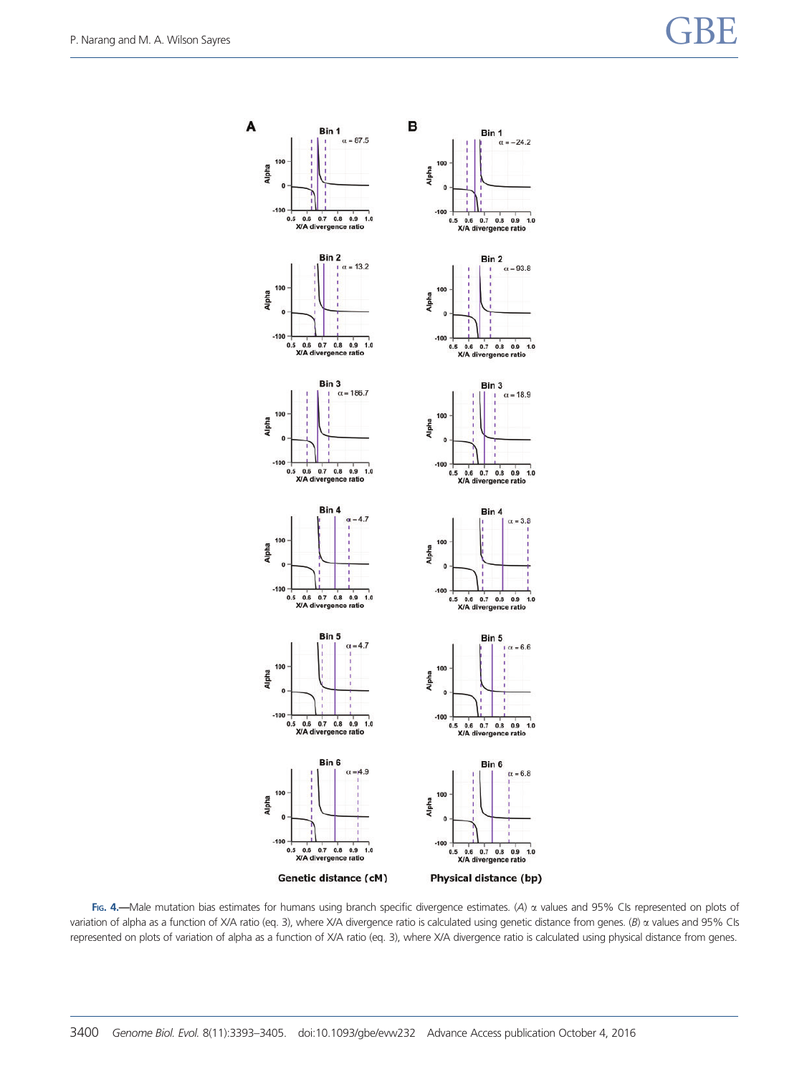<span id="page-7-0"></span>

FIG. 4.—Male mutation bias estimates for humans using branch specific divergence estimates. (A)  $\alpha$  values and 95% CIs represented on plots of variation of alpha as a function of X/A ratio (eq. 3), where X/A divergence ratio is calculated using genetic distance from genes. (B)  $\alpha$  values and 95% CIs represented on plots of variation of alpha as a function of X/A ratio (eq. 3), where X/A divergence ratio is calculated using physical distance from genes.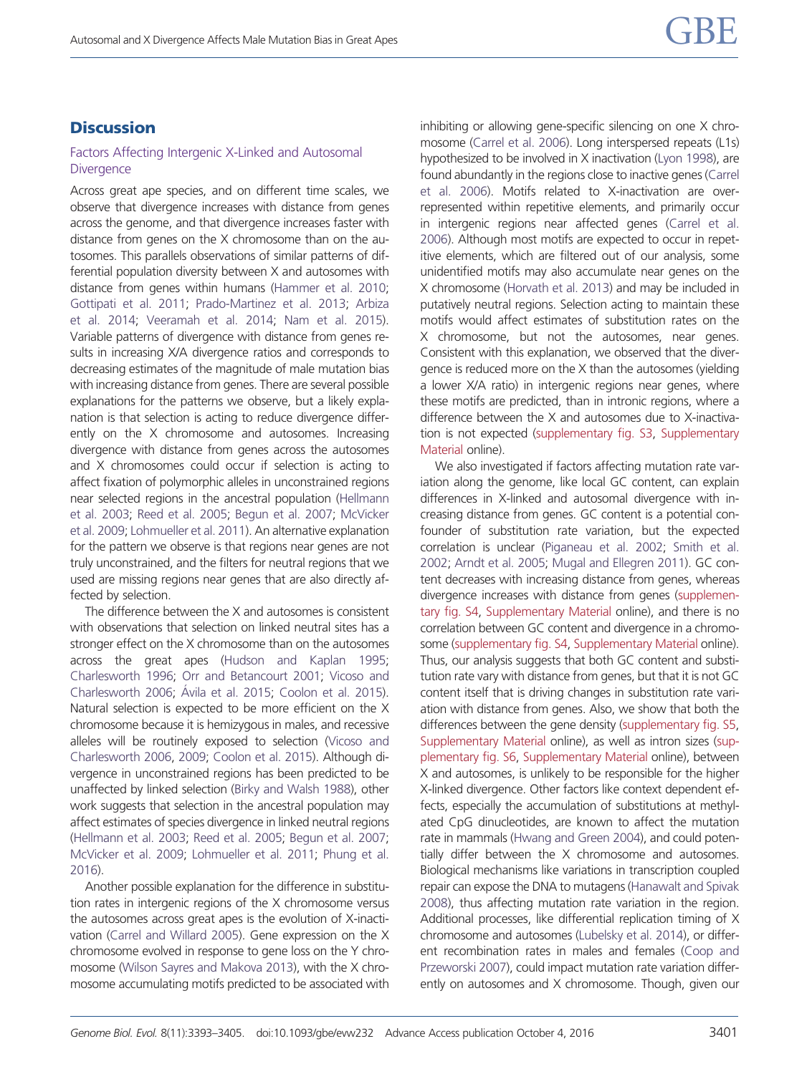## **Discussion**

#### Factors Affecting Intergenic X-Linked and Autosomal **Divergence**

Across great ape species, and on different time scales, we observe that divergence increases with distance from genes across the genome, and that divergence increases faster with distance from genes on the X chromosome than on the autosomes. This parallels observations of similar patterns of differential population diversity between X and autosomes with distance from genes within humans [\(Hammer et al. 2010;](#page-11-0) [Gottipati et al. 2011](#page-11-0); [Prado-Martinez et al. 2013](#page-12-0); [Arbiza](#page-10-0) [et al. 2014;](#page-10-0) [Veeramah et al. 2014;](#page-12-0) [Nam et al. 2015](#page-12-0)). Variable patterns of divergence with distance from genes results in increasing X/A divergence ratios and corresponds to decreasing estimates of the magnitude of male mutation bias with increasing distance from genes. There are several possible explanations for the patterns we observe, but a likely explanation is that selection is acting to reduce divergence differently on the X chromosome and autosomes. Increasing divergence with distance from genes across the autosomes and X chromosomes could occur if selection is acting to affect fixation of polymorphic alleles in unconstrained regions near selected regions in the ancestral population ([Hellmann](#page-11-0) [et al. 2003](#page-11-0); [Reed et al. 2005;](#page-12-0) [Begun et al. 2007](#page-11-0); [McVicker](#page-11-0) [et al. 2009](#page-11-0); [Lohmueller et al. 2011](#page-11-0)). An alternative explanation for the pattern we observe is that regions near genes are not truly unconstrained, and the filters for neutral regions that we used are missing regions near genes that are also directly affected by selection.

The difference between the X and autosomes is consistent with observations that selection on linked neutral sites has a stronger effect on the X chromosome than on the autosomes across the great apes [\(Hudson and Kaplan 1995;](#page-11-0) [Charlesworth 1996;](#page-11-0) [Orr and Betancourt 2001;](#page-12-0) [Vicoso and](#page-12-0) [Charlesworth 2006](#page-12-0); Á[vila et al. 2015](#page-11-0); [Coolon et al. 2015](#page-11-0)). Natural selection is expected to be more efficient on the X chromosome because it is hemizygous in males, and recessive alleles will be routinely exposed to selection [\(Vicoso and](#page-12-0) [Charlesworth 2006](#page-12-0), [2009;](#page-12-0) [Coolon et al. 2015\)](#page-11-0). Although divergence in unconstrained regions has been predicted to be unaffected by linked selection [\(Birky and Walsh 1988\)](#page-11-0), other work suggests that selection in the ancestral population may affect estimates of species divergence in linked neutral regions [\(Hellmann et al. 2003](#page-11-0); [Reed et al. 2005](#page-12-0); [Begun et al. 2007;](#page-11-0) [McVicker et al. 2009](#page-11-0); [Lohmueller et al. 2011](#page-11-0); [Phung et al.](#page-12-0) [2016\)](#page-12-0).

Another possible explanation for the difference in substitution rates in intergenic regions of the X chromosome versus the autosomes across great apes is the evolution of X-inactivation [\(Carrel and Willard 2005](#page-11-0)). Gene expression on the X chromosome evolved in response to gene loss on the Y chromosome [\(Wilson Sayres and Makova 2013\)](#page-12-0), with the X chromosome accumulating motifs predicted to be associated with inhibiting or allowing gene-specific silencing on one X chromosome [\(Carrel et al. 2006\)](#page-11-0). Long interspersed repeats (L1s) hypothesized to be involved in X inactivation ([Lyon 1998](#page-11-0)), are found abundantly in the regions close to inactive genes ([Carrel](#page-11-0) [et al. 2006\)](#page-11-0). Motifs related to X-inactivation are overrepresented within repetitive elements, and primarily occur in intergenic regions near affected genes [\(Carrel et al.](#page-11-0) [2006](#page-11-0)). Although most motifs are expected to occur in repetitive elements, which are filtered out of our analysis, some unidentified motifs may also accumulate near genes on the X chromosome [\(Horvath et al. 2013\)](#page-11-0) and may be included in putatively neutral regions. Selection acting to maintain these motifs would affect estimates of substitution rates on the X chromosome, but not the autosomes, near genes. Consistent with this explanation, we observed that the divergence is reduced more on the X than the autosomes (yielding a lower X/A ratio) in intergenic regions near genes, where these motifs are predicted, than in intronic regions, where a difference between the X and autosomes due to X-inactivation is not expected ([supplementary fig. S3,](http://gbe.oxfordjournals.org/lookup/suppl/doi:10.1093/gbe/evw232/-/DC1) [Supplementary](http://gbe.oxfordjournals.org/lookup/suppl/doi:10.1093/gbe/evw232/-/DC1) [Material](http://gbe.oxfordjournals.org/lookup/suppl/doi:10.1093/gbe/evw232/-/DC1) online).

We also investigated if factors affecting mutation rate variation along the genome, like local GC content, can explain differences in X-linked and autosomal divergence with increasing distance from genes. GC content is a potential confounder of substitution rate variation, but the expected correlation is unclear [\(Piganeau et al. 2002](#page-12-0); [Smith et al.](#page-12-0) [2002](#page-12-0); [Arndt et al. 2005](#page-11-0); [Mugal and Ellegren 2011\)](#page-11-0). GC content decreases with increasing distance from genes, whereas divergence increases with distance from genes ([supplemen](http://gbe.oxfordjournals.org/lookup/suppl/doi:10.1093/gbe/evw232/-/DC1)[tary fig. S4](http://gbe.oxfordjournals.org/lookup/suppl/doi:10.1093/gbe/evw232/-/DC1), [Supplementary Material](http://gbe.oxfordjournals.org/lookup/suppl/doi:10.1093/gbe/evw232/-/DC1) online), and there is no correlation between GC content and divergence in a chromosome [\(supplementary fig. S4,](http://gbe.oxfordjournals.org/lookup/suppl/doi:10.1093/gbe/evw232/-/DC1) [Supplementary Material](http://gbe.oxfordjournals.org/lookup/suppl/doi:10.1093/gbe/evw232/-/DC1) online). Thus, our analysis suggests that both GC content and substitution rate vary with distance from genes, but that it is not GC content itself that is driving changes in substitution rate variation with distance from genes. Also, we show that both the differences between the gene density ([supplementary fig. S5](http://gbe.oxfordjournals.org/lookup/suppl/doi:10.1093/gbe/evw232/-/DC1), [Supplementary Material](http://gbe.oxfordjournals.org/lookup/suppl/doi:10.1093/gbe/evw232/-/DC1) online), as well as intron sizes [\(sup](http://gbe.oxfordjournals.org/lookup/suppl/doi:10.1093/gbe/evw232/-/DC1)[plementary fig. S6,](http://gbe.oxfordjournals.org/lookup/suppl/doi:10.1093/gbe/evw232/-/DC1) [Supplementary Material](http://gbe.oxfordjournals.org/lookup/suppl/doi:10.1093/gbe/evw232/-/DC1) online), between X and autosomes, is unlikely to be responsible for the higher X-linked divergence. Other factors like context dependent effects, especially the accumulation of substitutions at methylated CpG dinucleotides, are known to affect the mutation rate in mammals [\(Hwang and Green 2004\)](#page-11-0), and could potentially differ between the X chromosome and autosomes. Biological mechanisms like variations in transcription coupled repair can expose the DNA to mutagens [\(Hanawalt and Spivak](#page-11-0) [2008](#page-11-0)), thus affecting mutation rate variation in the region. Additional processes, like differential replication timing of X chromosome and autosomes [\(Lubelsky et al. 2014](#page-11-0)), or different recombination rates in males and females [\(Coop and](#page-11-0) [Przeworski 2007\)](#page-11-0), could impact mutation rate variation differently on autosomes and X chromosome. Though, given our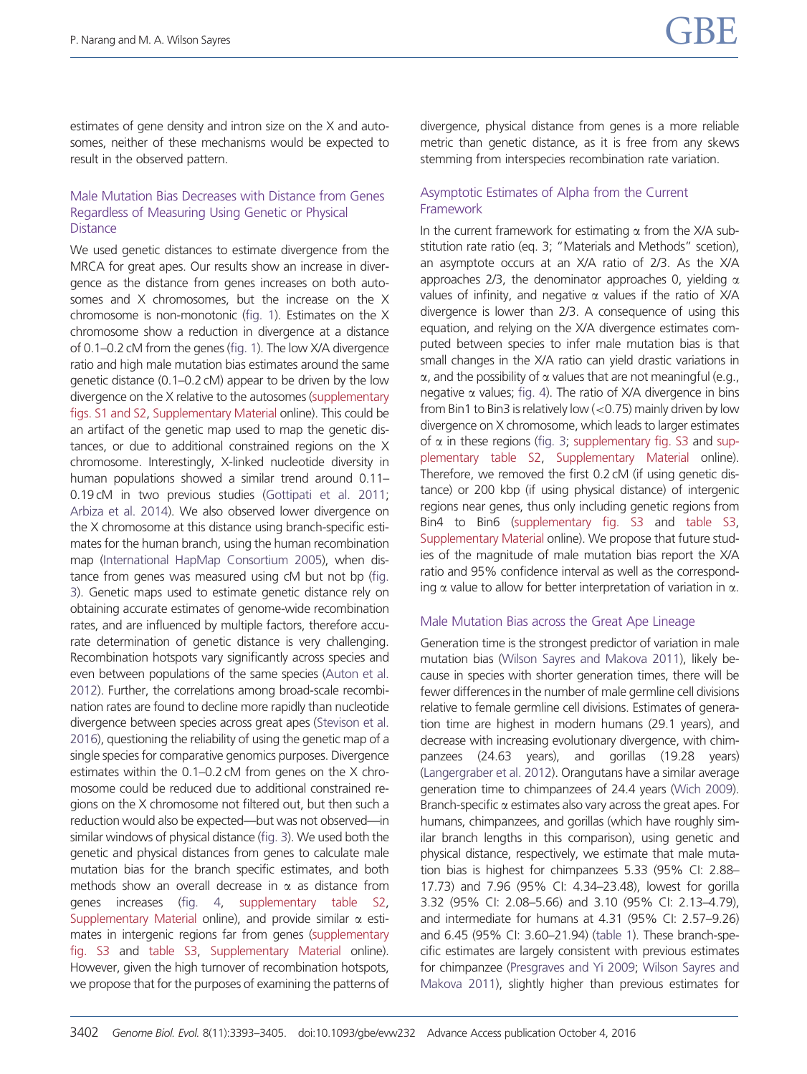estimates of gene density and intron size on the X and autosomes, neither of these mechanisms would be expected to result in the observed pattern.

#### Male Mutation Bias Decreases with Distance from Genes Regardless of Measuring Using Genetic or Physical **Distance**

We used genetic distances to estimate divergence from the MRCA for great apes. Our results show an increase in divergence as the distance from genes increases on both autosomes and X chromosomes, but the increase on the X chromosome is non-monotonic [\(fig. 1\)](#page-4-0). Estimates on the X chromosome show a reduction in divergence at a distance of 0.1–0.2 cM from the genes [\(fig. 1\)](#page-4-0). The low X/A divergence ratio and high male mutation bias estimates around the same genetic distance (0.1–0.2 cM) appear to be driven by the low divergence on the X relative to the autosomes ([supplementary](http://gbe.oxfordjournals.org/lookup/suppl/doi:10.1093/gbe/evw232/-/DC1) [figs. S1 and S2](http://gbe.oxfordjournals.org/lookup/suppl/doi:10.1093/gbe/evw232/-/DC1), [Supplementary Material](http://gbe.oxfordjournals.org/lookup/suppl/doi:10.1093/gbe/evw232/-/DC1) online). This could be an artifact of the genetic map used to map the genetic distances, or due to additional constrained regions on the X chromosome. Interestingly, X-linked nucleotide diversity in human populations showed a similar trend around 0.11– 0.19 cM in two previous studies [\(Gottipati et al. 2011;](#page-11-0) [Arbiza et al. 2014\)](#page-10-0). We also observed lower divergence on the X chromosome at this distance using branch-specific estimates for the human branch, using the human recombination map [\(International HapMap Consortium 2005\)](#page-11-0), when distance from genes was measured using cM but not bp ([fig.](#page-6-0) [3\)](#page-6-0). Genetic maps used to estimate genetic distance rely on obtaining accurate estimates of genome-wide recombination rates, and are influenced by multiple factors, therefore accurate determination of genetic distance is very challenging. Recombination hotspots vary significantly across species and even between populations of the same species [\(Auton et al.](#page-11-0) [2012\)](#page-11-0). Further, the correlations among broad-scale recombination rates are found to decline more rapidly than nucleotide divergence between species across great apes [\(Stevison et al.](#page-12-0) [2016\)](#page-12-0), questioning the reliability of using the genetic map of a single species for comparative genomics purposes. Divergence estimates within the 0.1–0.2 cM from genes on the X chromosome could be reduced due to additional constrained regions on the X chromosome not filtered out, but then such a reduction would also be expected—but was not observed—in similar windows of physical distance ([fig. 3](#page-6-0)). We used both the genetic and physical distances from genes to calculate male mutation bias for the branch specific estimates, and both methods show an overall decrease in  $\alpha$  as distance from genes increases [\(fig. 4,](#page-7-0) [supplementary table S2,](http://gbe.oxfordjournals.org/lookup/suppl/doi:10.1093/gbe/evw232/-/DC1) [Supplementary Material](http://gbe.oxfordjournals.org/lookup/suppl/doi:10.1093/gbe/evw232/-/DC1) online), and provide similar  $\alpha$  estimates in intergenic regions far from genes ([supplementary](http://gbe.oxfordjournals.org/lookup/suppl/doi:10.1093/gbe/evw232/-/DC1) [fig. S3](http://gbe.oxfordjournals.org/lookup/suppl/doi:10.1093/gbe/evw232/-/DC1) and [table S3,](http://gbe.oxfordjournals.org/lookup/suppl/doi:10.1093/gbe/evw232/-/DC1) [Supplementary Material](http://gbe.oxfordjournals.org/lookup/suppl/doi:10.1093/gbe/evw232/-/DC1) online). However, given the high turnover of recombination hotspots, we propose that for the purposes of examining the patterns of

divergence, physical distance from genes is a more reliable metric than genetic distance, as it is free from any skews stemming from interspecies recombination rate variation.

#### Asymptotic Estimates of Alpha from the Current Framework

In the current framework for estimating  $\alpha$  from the X/A substitution rate ratio (eq. 3; "Materials and Methods" scetion), an asymptote occurs at an X/A ratio of 2/3. As the X/A approaches 2/3, the denominator approaches 0, yielding  $\alpha$ values of infinity, and negative  $\alpha$  values if the ratio of X/A divergence is lower than 2/3. A consequence of using this equation, and relying on the X/A divergence estimates computed between species to infer male mutation bias is that small changes in the X/A ratio can yield drastic variations in  $\alpha$ , and the possibility of  $\alpha$  values that are not meaningful (e.g., negative  $\alpha$  values; [fig. 4](#page-7-0)). The ratio of X/A divergence in bins from Bin1 to Bin3 is relatively low (<0.75) mainly driven by low divergence on X chromosome, which leads to larger estimates of  $\alpha$  in these regions [\(fig. 3;](#page-6-0) [supplementary fig. S3](http://gbe.oxfordjournals.org/lookup/suppl/doi:10.1093/gbe/evw232/-/DC1) and [sup](http://gbe.oxfordjournals.org/lookup/suppl/doi:10.1093/gbe/evw232/-/DC1)[plementary table S2,](http://gbe.oxfordjournals.org/lookup/suppl/doi:10.1093/gbe/evw232/-/DC1) [Supplementary Material](http://gbe.oxfordjournals.org/lookup/suppl/doi:10.1093/gbe/evw232/-/DC1) online). Therefore, we removed the first 0.2 cM (if using genetic distance) or 200 kbp (if using physical distance) of intergenic regions near genes, thus only including genetic regions from Bin4 to Bin6 ([supplementary fig. S3](http://gbe.oxfordjournals.org/lookup/suppl/doi:10.1093/gbe/evw232/-/DC1) and [table S3](http://gbe.oxfordjournals.org/lookup/suppl/doi:10.1093/gbe/evw232/-/DC1), [Supplementary Material](http://gbe.oxfordjournals.org/lookup/suppl/doi:10.1093/gbe/evw232/-/DC1) online). We propose that future studies of the magnitude of male mutation bias report the X/A ratio and 95% confidence interval as well as the corresponding  $\alpha$  value to allow for better interpretation of variation in  $\alpha$ .

#### Male Mutation Bias across the Great Ape Lineage

Generation time is the strongest predictor of variation in male mutation bias ([Wilson Sayres and Makova 2011\)](#page-12-0), likely because in species with shorter generation times, there will be fewer differences in the number of male germline cell divisions relative to female germline cell divisions. Estimates of generation time are highest in modern humans (29.1 years), and decrease with increasing evolutionary divergence, with chimpanzees (24.63 years), and gorillas (19.28 years) ([Langergraber et al. 2012](#page-11-0)). Orangutans have a similar average generation time to chimpanzees of 24.4 years ([Wich 2009\)](#page-12-0). Branch-specific  $\alpha$  estimates also vary across the great apes. For humans, chimpanzees, and gorillas (which have roughly similar branch lengths in this comparison), using genetic and physical distance, respectively, we estimate that male mutation bias is highest for chimpanzees 5.33 (95% CI: 2.88– 17.73) and 7.96 (95% CI: 4.34–23.48), lowest for gorilla 3.32 (95% CI: 2.08–5.66) and 3.10 (95% CI: 2.13–4.79), and intermediate for humans at 4.31 (95% CI: 2.57–9.26) and 6.45 (95% CI: 3.60–21.94) [\(table 1\)](#page-10-0). These branch-specific estimates are largely consistent with previous estimates for chimpanzee ([Presgraves and Yi 2009;](#page-12-0) [Wilson Sayres and](#page-12-0) [Makova 2011\)](#page-12-0), slightly higher than previous estimates for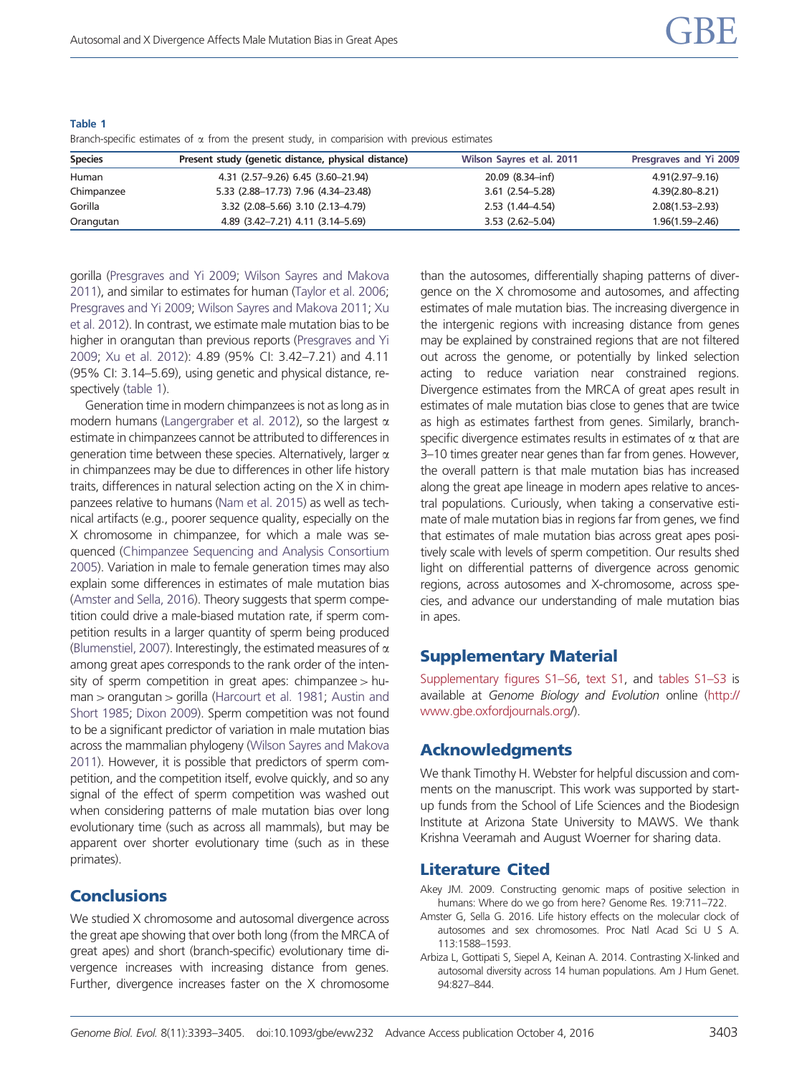<span id="page-10-0"></span>

| $\sim$<br>۰.<br>. .<br>v<br>× |  |  |  |  |
|-------------------------------|--|--|--|--|
|-------------------------------|--|--|--|--|

Branch-specific estimates of  $\alpha$  from the present study, in comparision with previous estimates

| <b>Species</b> | Present study (genetic distance, physical distance) | Wilson Sayres et al. 2011 | Presgraves and Yi 2009 |
|----------------|-----------------------------------------------------|---------------------------|------------------------|
| Human          | 4.31 (2.57-9.26) 6.45 (3.60-21.94)                  | 20.09 (8.34-inf)          | 4.91(2.97-9.16)        |
| Chimpanzee     | 5.33 (2.88-17.73) 7.96 (4.34-23.48)                 | $3.61(2.54 - 5.28)$       | 4.39(2.80–8.21)        |
| Gorilla        | 3.32 (2.08–5.66) 3.10 (2.13–4.79)                   | 2.53 (1.44-4.54)          | $2.08(1.53 - 2.93)$    |
| Orangutan      | 4.89 (3.42–7.21) 4.11 (3.14–5.69)                   | $3.53(2.62 - 5.04)$       | $1.96(1.59 - 2.46)$    |

gorilla [\(Presgraves and Yi 2009](#page-12-0); [Wilson Sayres and Makova](#page-12-0) [2011\)](#page-12-0), and similar to estimates for human [\(Taylor et al. 2006;](#page-12-0) [Presgraves and Yi 2009](#page-12-0); [Wilson Sayres and Makova 2011;](#page-12-0) [Xu](#page-12-0) [et al. 2012\)](#page-12-0). In contrast, we estimate male mutation bias to be higher in orangutan than previous reports [\(Presgraves and Yi](#page-12-0) [2009;](#page-12-0) [Xu et al. 2012](#page-12-0)): 4.89 (95% CI: 3.42–7.21) and 4.11 (95% CI: 3.14–5.69), using genetic and physical distance, respectively (table 1).

Generation time in modern chimpanzees is not as long as in modern humans [\(Langergraber et al. 2012](#page-11-0)), so the largest  $\alpha$ estimate in chimpanzees cannot be attributed to differences in generation time between these species. Alternatively, larger  $\alpha$ in chimpanzees may be due to differences in other life history traits, differences in natural selection acting on the X in chimpanzees relative to humans [\(Nam et al. 2015\)](#page-12-0) as well as technical artifacts (e.g., poorer sequence quality, especially on the X chromosome in chimpanzee, for which a male was sequenced ([Chimpanzee Sequencing and Analysis Consortium](#page-11-0) [2005\)](#page-11-0). Variation in male to female generation times may also explain some differences in estimates of male mutation bias (Amster and Sella, 2016). Theory suggests that sperm competition could drive a male-biased mutation rate, if sperm competition results in a larger quantity of sperm being produced [\(Blumenstiel, 2007\)](#page-11-0). Interestingly, the estimated measures of  $\alpha$ among great apes corresponds to the rank order of the intensity of sperm competition in great apes: chimpanzee  $>$  hu-man > orangutan > gorilla [\(Harcourt et al. 1981](#page-11-0); [Austin and](#page-11-0) [Short 1985](#page-11-0); [Dixon 2009\)](#page-11-0). Sperm competition was not found to be a significant predictor of variation in male mutation bias across the mammalian phylogeny ([Wilson Sayres and Makova](#page-12-0) [2011\)](#page-12-0). However, it is possible that predictors of sperm competition, and the competition itself, evolve quickly, and so any signal of the effect of sperm competition was washed out when considering patterns of male mutation bias over long evolutionary time (such as across all mammals), but may be apparent over shorter evolutionary time (such as in these primates).

## **Conclusions**

We studied X chromosome and autosomal divergence across the great ape showing that over both long (from the MRCA of great apes) and short (branch-specific) evolutionary time divergence increases with increasing distance from genes. Further, divergence increases faster on the X chromosome than the autosomes, differentially shaping patterns of divergence on the X chromosome and autosomes, and affecting estimates of male mutation bias. The increasing divergence in the intergenic regions with increasing distance from genes may be explained by constrained regions that are not filtered out across the genome, or potentially by linked selection acting to reduce variation near constrained regions. Divergence estimates from the MRCA of great apes result in estimates of male mutation bias close to genes that are twice as high as estimates farthest from genes. Similarly, branchspecific divergence estimates results in estimates of  $\alpha$  that are 3–10 times greater near genes than far from genes. However, the overall pattern is that male mutation bias has increased along the great ape lineage in modern apes relative to ancestral populations. Curiously, when taking a conservative estimate of male mutation bias in regions far from genes, we find that estimates of male mutation bias across great apes positively scale with levels of sperm competition. Our results shed light on differential patterns of divergence across genomic regions, across autosomes and X-chromosome, across species, and advance our understanding of male mutation bias in apes.

## Supplementary Material

[Supplementary figures S1–S6](http://gbe.oxfordjournals.org/lookup/suppl/doi:10.1093/gbe/evw232/-/DC1), [text S1,](http://gbe.oxfordjournals.org/lookup/suppl/doi:10.1093/gbe/evw232/-/DC1) and [tables S1–S3](http://gbe.oxfordjournals.org/lookup/suppl/doi:10.1093/gbe/evw232/-/DC1) is available at Genome Biology and Evolution online ([http://](http://www.gbe.oxfordjournals.org) [www.gbe.oxfordjournals.org](http://www.gbe.oxfordjournals.org)/).

## Acknowledgments

We thank Timothy H. Webster for helpful discussion and comments on the manuscript. This work was supported by startup funds from the School of Life Sciences and the Biodesign Institute at Arizona State University to MAWS. We thank Krishna Veeramah and August Woerner for sharing data.

## Literature Cited

- Akey JM. 2009. Constructing genomic maps of positive selection in humans: Where do we go from here? Genome Res. 19:711–722.
- Amster G, Sella G. 2016. Life history effects on the molecular clock of autosomes and sex chromosomes. Proc Natl Acad Sci U S A. 113:1588–1593.
- Arbiza L, Gottipati S, Siepel A, Keinan A. 2014. Contrasting X-linked and autosomal diversity across 14 human populations. Am J Hum Genet. 94:827–844.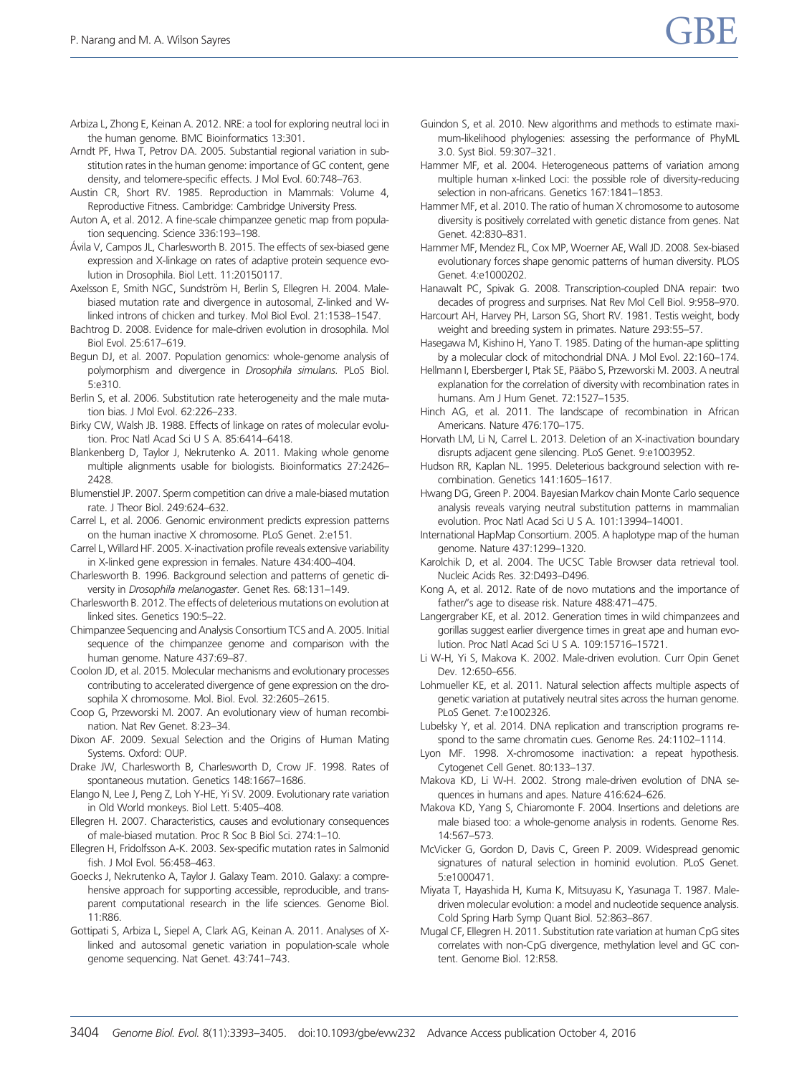- <span id="page-11-0"></span>Arbiza L, Zhong E, Keinan A. 2012. NRE: a tool for exploring neutral loci in the human genome. BMC Bioinformatics 13:301.
- Arndt PF, Hwa T, Petrov DA. 2005. Substantial regional variation in substitution rates in the human genome: importance of GC content, gene density, and telomere-specific effects. J Mol Evol. 60:748–763.
- Austin CR, Short RV. 1985. Reproduction in Mammals: Volume 4, Reproductive Fitness. Cambridge: Cambridge University Press.
- Auton A, et al. 2012. A fine-scale chimpanzee genetic map from population sequencing. Science 336:193–198.
- Ávila V, Campos JL, Charlesworth B, 2015. The effects of sex-biased gene expression and X-linkage on rates of adaptive protein sequence evolution in Drosophila. Biol Lett. 11:20150117.
- Axelsson E, Smith NGC, Sundström H, Berlin S, Ellegren H. 2004. Malebiased mutation rate and divergence in autosomal, Z-linked and Wlinked introns of chicken and turkey. Mol Biol Evol. 21:1538–1547.
- Bachtrog D. 2008. Evidence for male-driven evolution in drosophila. Mol Biol Evol. 25:617–619.
- Begun DJ, et al. 2007. Population genomics: whole-genome analysis of polymorphism and divergence in Drosophila simulans. PLoS Biol. 5:e310.
- Berlin S, et al. 2006. Substitution rate heterogeneity and the male mutation bias. J Mol Evol. 62:226–233.
- Birky CW, Walsh JB. 1988. Effects of linkage on rates of molecular evolution. Proc Natl Acad Sci U S A. 85:6414–6418.
- Blankenberg D, Taylor J, Nekrutenko A. 2011. Making whole genome multiple alignments usable for biologists. Bioinformatics 27:2426– 2428.
- Blumenstiel JP. 2007. Sperm competition can drive a male-biased mutation rate. J Theor Biol. 249:624–632.
- Carrel L, et al. 2006. Genomic environment predicts expression patterns on the human inactive X chromosome. PLoS Genet. 2:e151.
- Carrel L, Willard HF. 2005. X-inactivation profile reveals extensive variability in X-linked gene expression in females. Nature 434:400–404.
- Charlesworth B. 1996. Background selection and patterns of genetic diversity in Drosophila melanogaster. Genet Res. 68:131–149.
- Charlesworth B. 2012. The effects of deleterious mutations on evolution at linked sites. Genetics 190:5–22.
- Chimpanzee Sequencing and Analysis Consortium TCS and A. 2005. Initial sequence of the chimpanzee genome and comparison with the human genome. Nature 437:69–87.
- Coolon JD, et al. 2015. Molecular mechanisms and evolutionary processes contributing to accelerated divergence of gene expression on the drosophila X chromosome. Mol. Biol. Evol. 32:2605–2615.
- Coop G, Przeworski M. 2007. An evolutionary view of human recombination. Nat Rev Genet. 8:23–34.
- Dixon AF. 2009. Sexual Selection and the Origins of Human Mating Systems. Oxford: OUP.
- Drake JW, Charlesworth B, Charlesworth D, Crow JF. 1998. Rates of spontaneous mutation. Genetics 148:1667–1686.
- Elango N, Lee J, Peng Z, Loh Y-HE, Yi SV. 2009. Evolutionary rate variation in Old World monkeys. Biol Lett. 5:405–408.
- Ellegren H. 2007. Characteristics, causes and evolutionary consequences of male-biased mutation. Proc R Soc B Biol Sci. 274:1–10.
- Ellegren H, Fridolfsson A-K. 2003. Sex-specific mutation rates in Salmonid fish. J Mol Evol. 56:458–463.
- Goecks J, Nekrutenko A, Taylor J. Galaxy Team. 2010. Galaxy: a comprehensive approach for supporting accessible, reproducible, and transparent computational research in the life sciences. Genome Biol. 11:R86.
- Gottipati S, Arbiza L, Siepel A, Clark AG, Keinan A. 2011. Analyses of Xlinked and autosomal genetic variation in population-scale whole genome sequencing. Nat Genet. 43:741–743.
- Guindon S, et al. 2010. New algorithms and methods to estimate maximum-likelihood phylogenies: assessing the performance of PhyML 3.0. Syst Biol. 59:307–321.
- Hammer MF, et al. 2004. Heterogeneous patterns of variation among multiple human x-linked Loci: the possible role of diversity-reducing selection in non-africans. Genetics 167:1841–1853.
- Hammer MF, et al. 2010. The ratio of human X chromosome to autosome diversity is positively correlated with genetic distance from genes. Nat Genet. 42:830–831.
- Hammer MF, Mendez FL, Cox MP, Woerner AE, Wall JD. 2008. Sex-biased evolutionary forces shape genomic patterns of human diversity. PLOS Genet. 4:e1000202.
- Hanawalt PC, Spivak G. 2008. Transcription-coupled DNA repair: two decades of progress and surprises. Nat Rev Mol Cell Biol. 9:958–970.
- Harcourt AH, Harvey PH, Larson SG, Short RV. 1981. Testis weight, body weight and breeding system in primates. Nature 293:55–57.
- Hasegawa M, Kishino H, Yano T. 1985. Dating of the human-ape splitting by a molecular clock of mitochondrial DNA. J Mol Evol. 22:160–174.
- Hellmann I, Ebersberger I, Ptak SE, Pääbo S, Przeworski M. 2003. A neutral explanation for the correlation of diversity with recombination rates in humans. Am J Hum Genet. 72:1527–1535.
- Hinch AG, et al. 2011. The landscape of recombination in African Americans. Nature 476:170–175.
- Horvath LM, Li N, Carrel L. 2013. Deletion of an X-inactivation boundary disrupts adjacent gene silencing. PLoS Genet. 9:e1003952.
- Hudson RR, Kaplan NL. 1995. Deleterious background selection with recombination. Genetics 141:1605–1617.
- Hwang DG, Green P. 2004. Bayesian Markov chain Monte Carlo sequence analysis reveals varying neutral substitution patterns in mammalian evolution. Proc Natl Acad Sci U S A. 101:13994–14001.
- International HapMap Consortium. 2005. A haplotype map of the human genome. Nature 437:1299–1320.
- Karolchik D, et al. 2004. The UCSC Table Browser data retrieval tool. Nucleic Acids Res. 32:D493–D496.
- Kong A, et al. 2012. Rate of de novo mutations and the importance of father/'s age to disease risk. Nature 488:471–475.
- Langergraber KE, et al. 2012. Generation times in wild chimpanzees and gorillas suggest earlier divergence times in great ape and human evolution. Proc Natl Acad Sci U S A. 109:15716–15721.
- Li W-H, Yi S, Makova K. 2002. Male-driven evolution. Curr Opin Genet Dev. 12:650–656.
- Lohmueller KE, et al. 2011. Natural selection affects multiple aspects of genetic variation at putatively neutral sites across the human genome. PLoS Genet. 7:e1002326.
- Lubelsky Y, et al. 2014. DNA replication and transcription programs respond to the same chromatin cues. Genome Res. 24:1102–1114.
- Lyon MF. 1998. X-chromosome inactivation: a repeat hypothesis. Cytogenet Cell Genet. 80:133–137.
- Makova KD, Li W-H. 2002. Strong male-driven evolution of DNA sequences in humans and apes. Nature 416:624–626.
- Makova KD, Yang S, Chiaromonte F. 2004. Insertions and deletions are male biased too: a whole-genome analysis in rodents. Genome Res. 14:567–573.
- McVicker G, Gordon D, Davis C, Green P. 2009. Widespread genomic signatures of natural selection in hominid evolution. PLoS Genet. 5:e1000471.
- Miyata T, Hayashida H, Kuma K, Mitsuyasu K, Yasunaga T. 1987. Maledriven molecular evolution: a model and nucleotide sequence analysis. Cold Spring Harb Symp Quant Biol. 52:863–867.
- Mugal CF, Ellegren H. 2011. Substitution rate variation at human CpG sites correlates with non-CpG divergence, methylation level and GC content. Genome Biol. 12:R58.